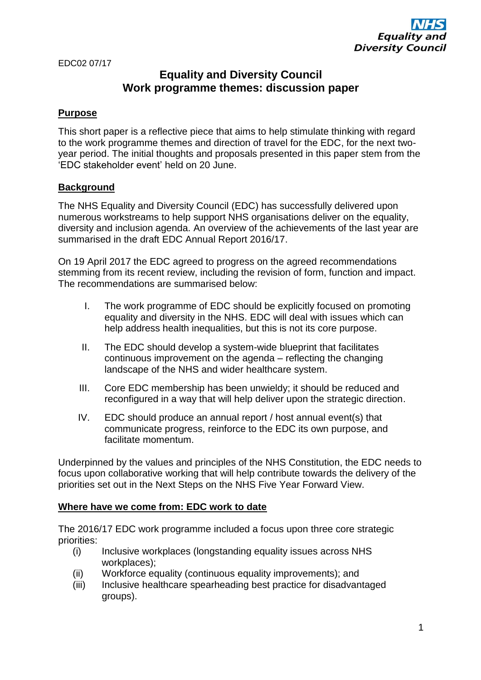

EDC02 07/17

# **Equality and Diversity Council Work programme themes: discussion paper**

#### **Purpose**

This short paper is a reflective piece that aims to help stimulate thinking with regard to the work programme themes and direction of travel for the EDC, for the next twoyear period. The initial thoughts and proposals presented in this paper stem from the 'EDC stakeholder event' held on 20 June.

#### **Background**

The NHS Equality and Diversity Council (EDC) has successfully delivered upon numerous workstreams to help support NHS organisations deliver on the equality, diversity and inclusion agenda. An overview of the achievements of the last year are summarised in the draft EDC Annual Report 2016/17.

On 19 April 2017 the EDC agreed to progress on the agreed recommendations stemming from its recent review, including the revision of form, function and impact. The recommendations are summarised below:

- I. The work programme of EDC should be explicitly focused on promoting equality and diversity in the NHS. EDC will deal with issues which can help address health inequalities, but this is not its core purpose.
- II. The EDC should develop a system-wide blueprint that facilitates continuous improvement on the agenda – reflecting the changing landscape of the NHS and wider healthcare system.
- III. Core EDC membership has been unwieldy; it should be reduced and reconfigured in a way that will help deliver upon the strategic direction.
- IV. EDC should produce an annual report / host annual event(s) that communicate progress, reinforce to the EDC its own purpose, and facilitate momentum.

Underpinned by the values and principles of the NHS Constitution, the EDC needs to focus upon collaborative working that will help contribute towards the delivery of the priorities set out in the Next Steps on the NHS Five Year Forward View.

#### **Where have we come from: EDC work to date**

The 2016/17 EDC work programme included a focus upon three core strategic priorities:

- (i) Inclusive workplaces (longstanding equality issues across NHS workplaces);
- (ii) Workforce equality (continuous equality improvements); and
- (iii) Inclusive healthcare spearheading best practice for disadvantaged groups).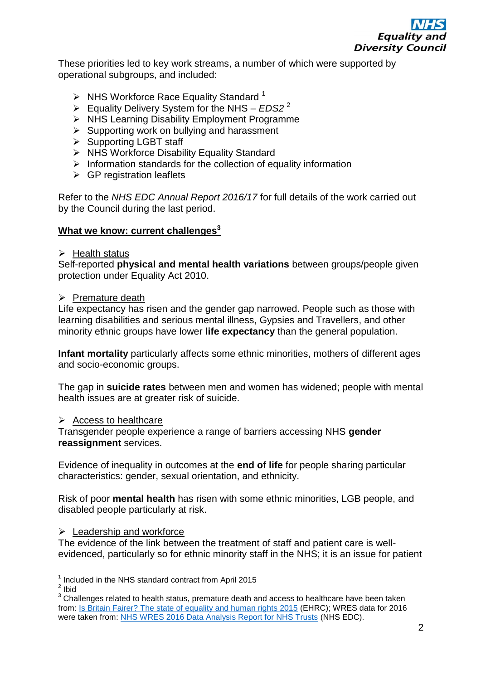

These priorities led to key work streams, a number of which were supported by operational subgroups, and included:

- $\triangleright$  NHS Workforce Race Equality Standard <sup>1</sup>
- $\triangleright$  Equality Delivery System for the NHS *EDS2*<sup>2</sup>
- $\triangleright$  NHS Learning Disability Employment Programme
- $\triangleright$  Supporting work on bullying and harassment
- $\triangleright$  Supporting LGBT staff
- $\triangleright$  NHS Workforce Disability Equality Standard
- $\triangleright$  Information standards for the collection of equality information
- $\triangleright$  GP registration leaflets

Refer to the *NHS EDC Annual Report 2016/17* for full details of the work carried out by the Council during the last period.

### **What we know: current challenges<sup>3</sup>**

#### $\triangleright$  Health status

Self-reported **physical and mental health variations** between groups/people given protection under Equality Act 2010.

### $\triangleright$  Premature death

Life expectancy has risen and the gender gap narrowed. People such as those with learning disabilities and serious mental illness, Gypsies and Travellers, and other minority ethnic groups have lower **life expectancy** than the general population.

**Infant mortality** particularly affects some ethnic minorities, mothers of different ages and socio-economic groups.

The gap in **suicide rates** between men and women has widened; people with mental health issues are at greater risk of suicide.

### $\triangleright$  Access to healthcare

Transgender people experience a range of barriers accessing NHS **gender reassignment** services.

Evidence of inequality in outcomes at the **end of life** for people sharing particular characteristics: gender, sexual orientation, and ethnicity.

Risk of poor **mental health** has risen with some ethnic minorities, LGB people, and disabled people particularly at risk.

### $\triangleright$  Leadership and workforce

The evidence of the link between the treatment of staff and patient care is wellevidenced, particularly so for ethnic minority staff in the NHS; it is an issue for patient

 1 Included in the NHS standard contract from April 2015

<sup>2</sup> Ibid

 $3$  Challenges related to health status, premature death and access to healthcare have been taken from: [Is Britain Fairer? The state of equality and human rights 2015](https://www.equalityhumanrights.com/en/britain-fairer/britain-fairer-report) (EHRC); WRES data for 2016 were taken from: [NHS WRES 2016 Data Analysis Report for NHS Trusts](https://www.england.nhs.uk/about/equality/equality-hub/equality-standard/workforce-race-equality-standard-2016-report/) (NHS EDC).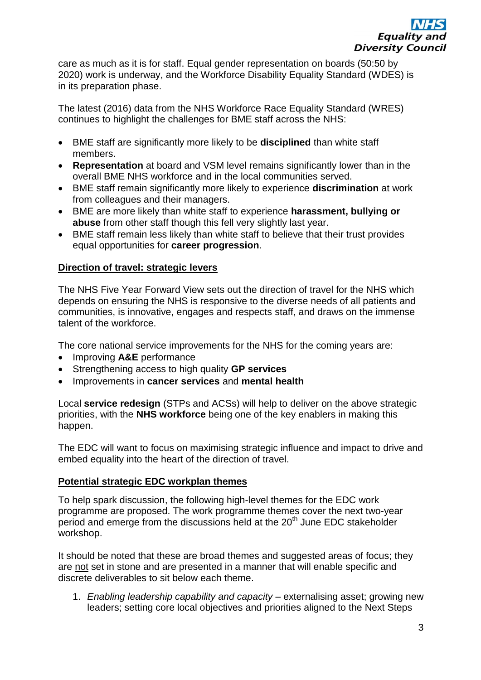care as much as it is for staff. Equal gender representation on boards (50:50 by 2020) work is underway, and the Workforce Disability Equality Standard (WDES) is in its preparation phase.

The latest (2016) data from the NHS Workforce Race Equality Standard (WRES) continues to highlight the challenges for BME staff across the NHS:

- BME staff are significantly more likely to be **disciplined** than white staff members.
- **Representation** at board and VSM level remains significantly lower than in the overall BME NHS workforce and in the local communities served.
- BME staff remain significantly more likely to experience **discrimination** at work from colleagues and their managers.
- BME are more likely than white staff to experience **harassment, bullying or abuse** from other staff though this fell very slightly last year.
- BME staff remain less likely than white staff to believe that their trust provides equal opportunities for **career progression**.

## **Direction of travel: strategic levers**

The NHS Five Year Forward View sets out the direction of travel for the NHS which depends on ensuring the NHS is responsive to the diverse needs of all patients and communities, is innovative, engages and respects staff, and draws on the immense talent of the workforce.

The core national service improvements for the NHS for the coming years are:

- Improving **A&E** performance
- Strengthening access to high quality **GP services**
- Improvements in **cancer services** and **mental health**

Local **service redesign** (STPs and ACSs) will help to deliver on the above strategic priorities, with the **NHS workforce** being one of the key enablers in making this happen.

The EDC will want to focus on maximising strategic influence and impact to drive and embed equality into the heart of the direction of travel.

## **Potential strategic EDC workplan themes**

To help spark discussion, the following high-level themes for the EDC work programme are proposed. The work programme themes cover the next two-year period and emerge from the discussions held at the  $20<sup>th</sup>$  June EDC stakeholder workshop.

It should be noted that these are broad themes and suggested areas of focus; they are not set in stone and are presented in a manner that will enable specific and discrete deliverables to sit below each theme.

1. *Enabling leadership capability and capacity* – externalising asset; growing new leaders; setting core local objectives and priorities aligned to the Next Steps